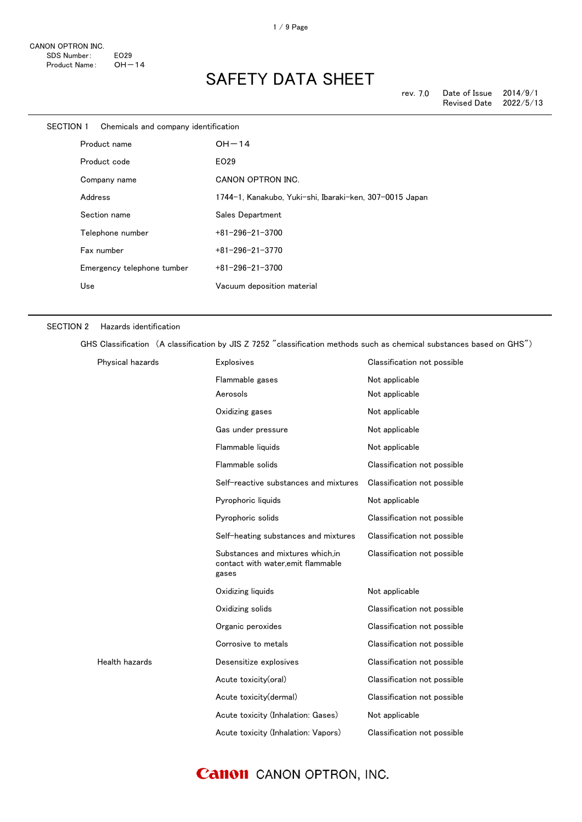| SECTION 1 | Chemicals and company identification |                                                         |
|-----------|--------------------------------------|---------------------------------------------------------|
|           | Product name                         | $OH-14$                                                 |
|           | Product code                         | EO29                                                    |
|           | Company name                         | <b>CANON OPTRON INC.</b>                                |
|           | Address                              | 1744-1, Kanakubo, Yuki-shi, Ibaraki-ken, 307-0015 Japan |
|           | Section name                         | Sales Department                                        |
|           | Telephone number                     | $+81 - 296 - 21 - 3700$                                 |
|           | Fax number                           | $+81 - 296 - 21 - 3770$                                 |
|           | Emergency telephone tumber           | $+81-296-21-3700$                                       |
|           | Use                                  | Vacuum deposition material                              |
|           |                                      |                                                         |

#### SECTION 2 Hazards identification

GHS Classification (A classification by JIS Z 7252 "classification methods such as chemical substances based on GHS")

| Physical hazards | <b>Explosives</b>                                                               | Classification not possible |
|------------------|---------------------------------------------------------------------------------|-----------------------------|
|                  | Flammable gases                                                                 | Not applicable              |
|                  | Aerosols                                                                        | Not applicable              |
|                  | Oxidizing gases                                                                 | Not applicable              |
|                  | Gas under pressure                                                              | Not applicable              |
|                  | Flammable liquids                                                               | Not applicable              |
|                  | Flammable solids                                                                | Classification not possible |
|                  | Self-reactive substances and mixtures                                           | Classification not possible |
|                  | Pyrophoric liquids                                                              | Not applicable              |
|                  | Pyrophoric solids                                                               | Classification not possible |
|                  | Self-heating substances and mixtures                                            | Classification not possible |
|                  | Substances and mixtures which.in<br>contact with water, emit flammable<br>gases | Classification not possible |
|                  | Oxidizing liquids                                                               | Not applicable              |
|                  | Oxidizing solids                                                                | Classification not possible |
|                  | Organic peroxides                                                               | Classification not possible |
|                  | Corrosive to metals                                                             | Classification not possible |
| Health hazards   | Desensitize explosives                                                          | Classification not possible |
|                  | Acute toxicity(oral)                                                            | Classification not possible |
|                  | Acute toxicity(dermal)                                                          | Classification not possible |
|                  | Acute toxicity (Inhalation: Gases)                                              | Not applicable              |
|                  | Acute toxicity (Inhalation: Vapors)                                             | Classification not possible |

### **Canon** CANON OPTRON, INC.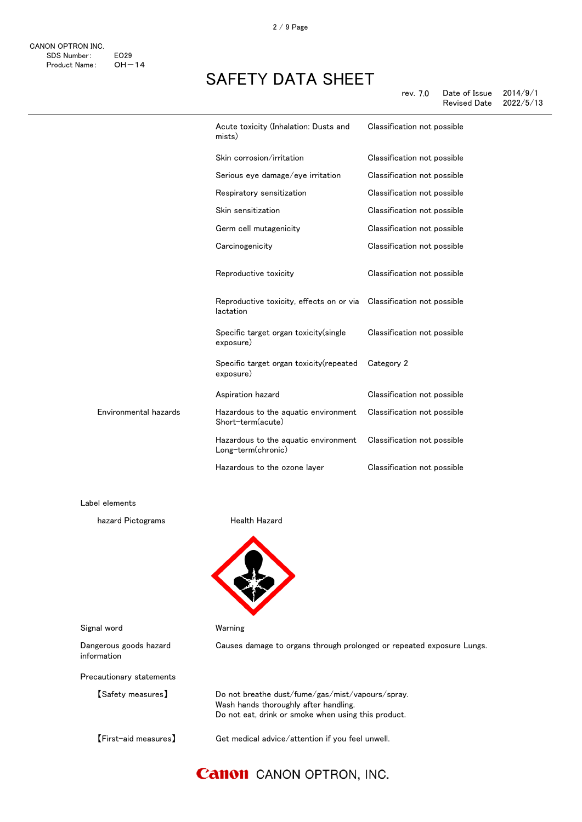|                       | Acute toxicity (Inhalation: Dusts and<br>mists)                                   | Classification not possible |
|-----------------------|-----------------------------------------------------------------------------------|-----------------------------|
|                       | Skin corrosion/irritation                                                         | Classification not possible |
|                       | Serious eye damage/eye irritation                                                 | Classification not possible |
|                       | Respiratory sensitization                                                         | Classification not possible |
|                       | Skin sensitization                                                                | Classification not possible |
|                       | Germ cell mutagenicity                                                            | Classification not possible |
|                       | Carcinogenicity                                                                   | Classification not possible |
|                       | Reproductive toxicity                                                             | Classification not possible |
|                       | Reproductive toxicity, effects on or via Classification not possible<br>lactation |                             |
|                       | Specific target organ toxicity (single<br>exposure)                               | Classification not possible |
|                       | Specific target organ toxicity(repeated<br>exposure)                              | Category 2                  |
|                       | Aspiration hazard                                                                 | Classification not possible |
| Environmental hazards | Hazardous to the aquatic environment<br>Short-term(acute)                         | Classification not possible |
|                       | Hazardous to the aquatic environment<br>Long-term(chronic)                        | Classification not possible |
|                       | Hazardous to the ozone layer                                                      | Classification not possible |
|                       |                                                                                   |                             |
| Label elements        |                                                                                   |                             |
| hazard Pictograms     | <b>Health Hazard</b>                                                              |                             |
|                       |                                                                                   |                             |

Signal word Warning

Dangerous goods hazard information

Precautionary statements

【Safety measures】 Do not breathe dust/fume/gas/mist/vapours/spray.

【First-aid measures】 Get medical advice/attention if you feel unwell.

Do not eat, drink or smoke when using this product.

Causes damage to organs through prolonged or repeated exposure Lungs.

### **Canon** CANON OPTRON, INC.

Wash hands thoroughly after handling.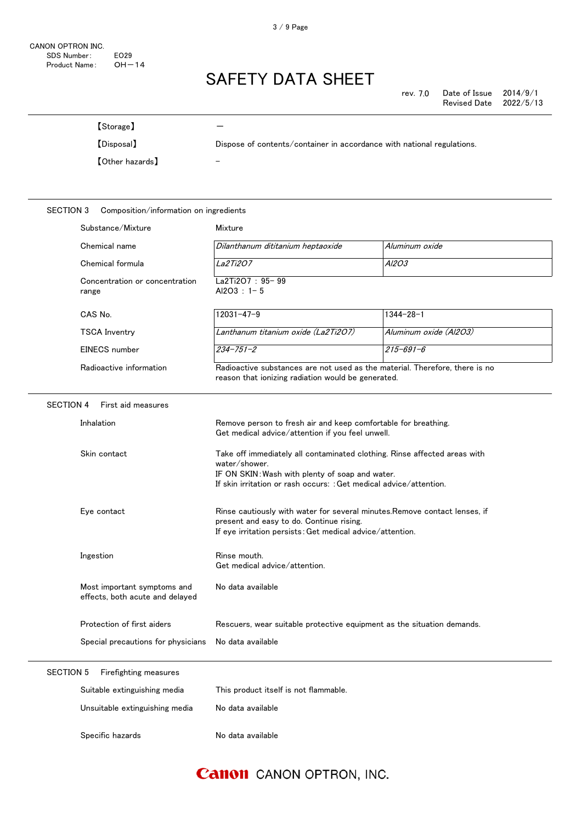| [Storage]                                                      |                                                                                                                                                                                                                     |                        |
|----------------------------------------------------------------|---------------------------------------------------------------------------------------------------------------------------------------------------------------------------------------------------------------------|------------------------|
| [Disposal]                                                     | Dispose of contents/container in accordance with national regulations.                                                                                                                                              |                        |
| <b>[Other hazards]</b>                                         |                                                                                                                                                                                                                     |                        |
| <b>SECTION 3</b><br>Composition/information on ingredients     |                                                                                                                                                                                                                     |                        |
| Substance/Mixture                                              | Mixture                                                                                                                                                                                                             |                        |
| Chemical name                                                  | Dilanthanum dititanium heptaoxide                                                                                                                                                                                   | Aluminum oxide         |
| Chemical formula                                               | La2Ti2O7                                                                                                                                                                                                            | A/203                  |
| Concentration or concentration<br>range                        | La2Ti2O7: 95-99<br>$Al2O3 : 1 - 5$                                                                                                                                                                                  |                        |
| CAS No.                                                        | $12031 - 47 - 9$                                                                                                                                                                                                    | $1344 - 28 - 1$        |
| <b>TSCA Inventry</b>                                           | Lanthanum titanium oxide (La2Ti2O7)                                                                                                                                                                                 | Aluminum oxide (Al2O3) |
| EINECS number                                                  | $234 - 751 - 2$                                                                                                                                                                                                     | $215 - 691 - 6$        |
| Radioactive information                                        | Radioactive substances are not used as the material. Therefore, there is no<br>reason that ionizing radiation would be generated.                                                                                   |                        |
| <b>SECTION 4</b><br>First aid measures                         |                                                                                                                                                                                                                     |                        |
| Inhalation                                                     | Remove person to fresh air and keep comfortable for breathing.<br>Get medical advice/attention if you feel unwell.                                                                                                  |                        |
| Skin contact                                                   | Take off immediately all contaminated clothing. Rinse affected areas with<br>water/shower.<br>IF ON SKIN: Wash with plenty of soap and water.<br>If skin irritation or rash occurs: : Get medical advice/attention. |                        |
| Eye contact                                                    | Rinse cautiously with water for several minutes. Remove contact lenses, if<br>present and easy to do. Continue rising.<br>If eye irritation persists: Get medical advice/attention.                                 |                        |
| Ingestion                                                      | Rinse mouth.<br>Get medical advice/attention.                                                                                                                                                                       |                        |
| Most important symptoms and<br>effects, both acute and delayed | No data available                                                                                                                                                                                                   |                        |
| Protection of first aiders                                     | Rescuers, wear suitable protective equipment as the situation demands.                                                                                                                                              |                        |
| Special precautions for physicians                             | No data available                                                                                                                                                                                                   |                        |
| <b>SECTION 5</b><br>Firefighting measures                      |                                                                                                                                                                                                                     |                        |
| Suitable extinguishing media                                   | This product itself is not flammable.                                                                                                                                                                               |                        |
| Unsuitable extinguishing media                                 | No data available                                                                                                                                                                                                   |                        |
| Specific hazards                                               | No data available                                                                                                                                                                                                   |                        |

### **Canon** CANON OPTRON, INC.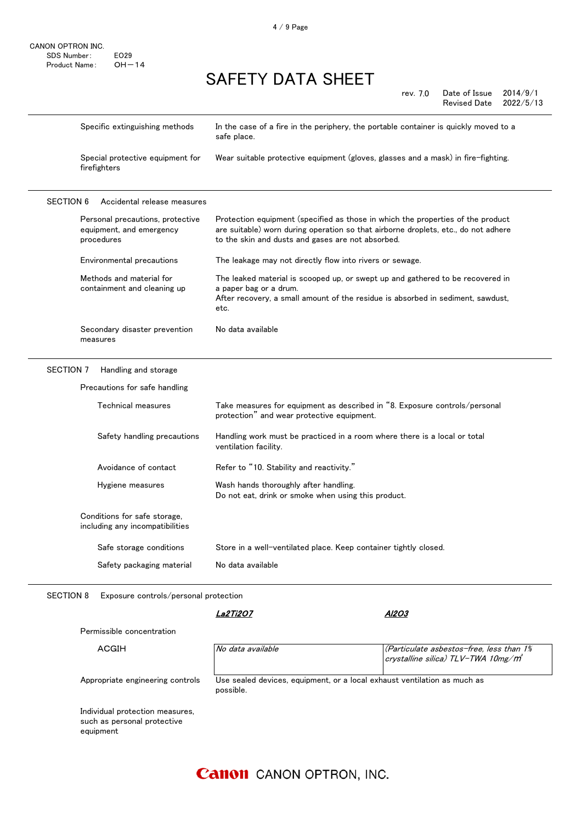$\overline{a}$ 

### SAFETY DATA SHEET

| Specific extinguishing methods                                             | In the case of a fire in the periphery, the portable container is quickly moved to a<br>safe place.                                                                                                                        |
|----------------------------------------------------------------------------|----------------------------------------------------------------------------------------------------------------------------------------------------------------------------------------------------------------------------|
| Special protective equipment for<br>firefighters                           | Wear suitable protective equipment (gloves, glasses and a mask) in fire-fighting.                                                                                                                                          |
| <b>SECTION 6</b><br>Accidental release measures                            |                                                                                                                                                                                                                            |
| Personal precautions, protective<br>equipment, and emergency<br>procedures | Protection equipment (specified as those in which the properties of the product<br>are suitable) worn during operation so that airborne droplets, etc., do not adhere<br>to the skin and dusts and gases are not absorbed. |
| Environmental precautions                                                  | The leakage may not directly flow into rivers or sewage.                                                                                                                                                                   |
| Methods and material for<br>containment and cleaning up                    | The leaked material is scooped up, or swept up and gathered to be recovered in<br>a paper bag or a drum.<br>After recovery, a small amount of the residue is absorbed in sediment, sawdust,<br>etc.                        |
| Secondary disaster prevention<br>measures                                  | No data available                                                                                                                                                                                                          |
| <b>SECTION 7</b><br>Handling and storage                                   |                                                                                                                                                                                                                            |
| Precautions for safe handling                                              |                                                                                                                                                                                                                            |
| Technical measures                                                         | Take measures for equipment as described in "8. Exposure controls/personal<br>protection" and wear protective equipment.                                                                                                   |
| Safety handling precautions                                                | Handling work must be practiced in a room where there is a local or total<br>ventilation facility.                                                                                                                         |
| Avoidance of contact                                                       | Refer to "10. Stability and reactivity."                                                                                                                                                                                   |
| Hygiene measures                                                           | Wash hands thoroughly after handling.<br>Do not eat, drink or smoke when using this product.                                                                                                                               |
| Conditions for safe storage,<br>including any incompatibilities            |                                                                                                                                                                                                                            |
| Safe storage conditions                                                    | Store in a well-ventilated place. Keep container tightly closed.                                                                                                                                                           |
| Safety packaging material                                                  | No data available                                                                                                                                                                                                          |

SECTION 8 Exposure controls/personal protection

La2Ti2O7

Al2O3

Permissible concentration

ACGIH  $\overline{N}$  No data available  $\overline{N}$  (Particulate asbestos-free, less than 1% crystalline silica) TLV-TWA 10mg/m<sup>3</sup>

Appropriate engineering controls Use sealed devices, equipment, or a local exhaust ventilation as much as possible.

Individual protection measures, such as personal protective equipment

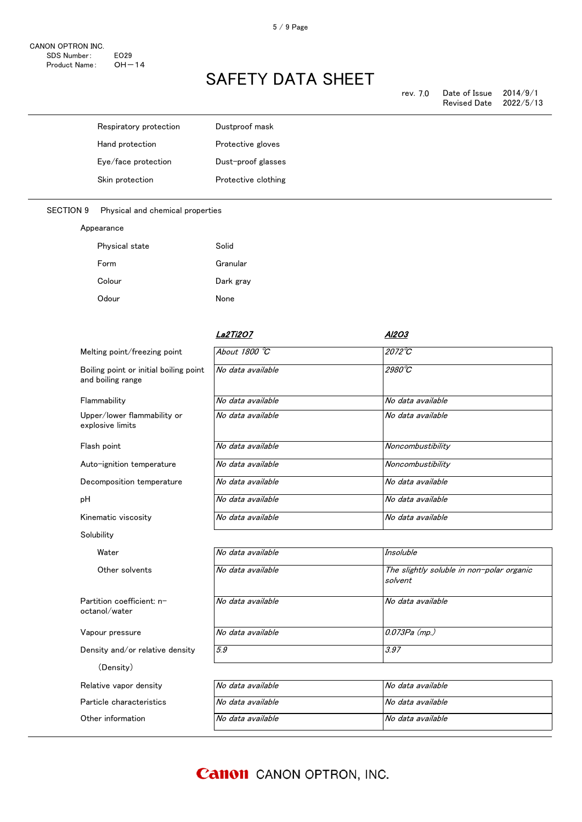| rev. 7.0 | Date of Issue       | 2014/9/1  |
|----------|---------------------|-----------|
|          | <b>Revised Date</b> | 2022/5/13 |

| Respiratory protection                                      | Dustproof mask      |                                           |
|-------------------------------------------------------------|---------------------|-------------------------------------------|
| Hand protection                                             | Protective gloves   |                                           |
| Eye/face protection                                         | Dust-proof glasses  |                                           |
| Skin protection                                             | Protective clothing |                                           |
| <b>SECTION 9</b><br>Physical and chemical properties        |                     |                                           |
| Appearance                                                  |                     |                                           |
| Physical state                                              | Solid               |                                           |
| Form                                                        | Granular            |                                           |
| Colour                                                      | Dark gray           |                                           |
| Odour                                                       | None                |                                           |
|                                                             | <b>La2Ti2O7</b>     | <b>AI2O3</b>                              |
| Melting point/freezing point                                | About 1800 °C       | $2072^{\circ}C$                           |
| Boiling point or initial boiling point<br>and boiling range | No data available   | $2980^{\circ}C$                           |
| Flammability                                                | No data available   | No data available                         |
| Upper/lower flammability or<br>explosive limits             | No data available   | No data available                         |
| Flash point                                                 | No data available   | Noncombustibility                         |
| Auto-ignition temperature                                   | No data available   | Noncombustibility                         |
| Decomposition temperature                                   | No data available   | No data available                         |
| pH                                                          | No data available   | No data available                         |
| Kinematic viscosity                                         | No data available   | No data available                         |
| Solubility                                                  |                     |                                           |
| Water                                                       | No data available   | Insoluble                                 |
| Other solvents                                              | No data available   | The slightly soluble in non-polar organic |

Partition coefficient: noctanol/water

Vapour pressure

Density and/or relative density

(Density)

Particle characteristics Relative vapor density

Other information

| Insoluble                                            |
|------------------------------------------------------|
| The slightly soluble in non-polar organic<br>solvent |
| No data available                                    |
| 0.073Pa (mp.)                                        |
| 3.97                                                 |
|                                                      |

| No data available | No data available. |
|-------------------|--------------------|
| No data available | No data available  |
| No data available | No data available  |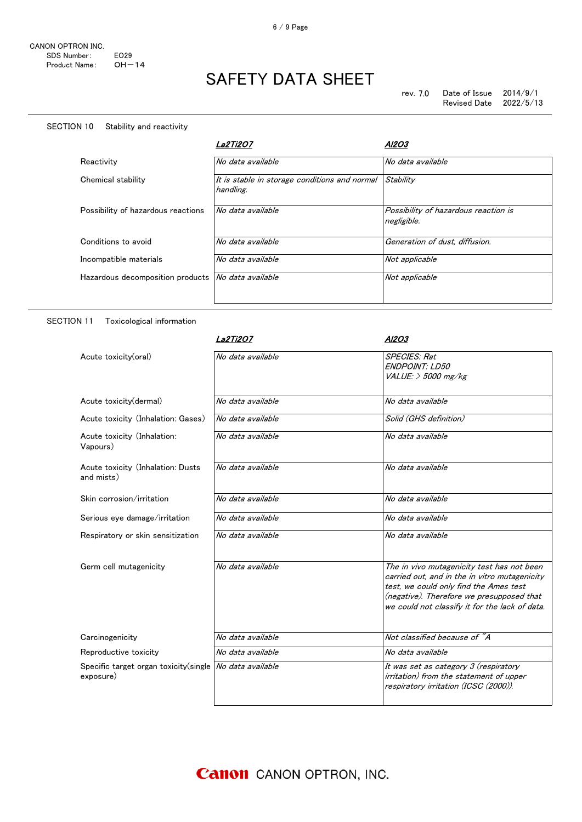#### SECTION 10 Stability and reactivity

|                                    | La2Ti2O7                                                   | A12O3                                               |
|------------------------------------|------------------------------------------------------------|-----------------------------------------------------|
| Reactivity                         | No data available                                          | No data available                                   |
| Chemical stability                 | It is stable in storage conditions and normal<br>handling. | Stability                                           |
| Possibility of hazardous reactions | No data available                                          | Possibility of hazardous reaction is<br>negligible. |
| Conditions to avoid                | No data available                                          | Generation of dust, diffusion.                      |
| Incompatible materials             | No data available                                          | Not applicable                                      |
| Hazardous decomposition products   | No data available                                          | Not applicable                                      |

#### SECTION 11 Toxicological information

|                                                         | <b>La2Ti2O7</b>   | Al2O3                                                                               |
|---------------------------------------------------------|-------------------|-------------------------------------------------------------------------------------|
| Acute toxicity(oral)                                    | No data available | <b>SPECIES: Rat</b>                                                                 |
|                                                         |                   | <b>ENDPOINT: LD50</b>                                                               |
|                                                         |                   | $VALUE:$ > 5000 mg/kg                                                               |
| Acute toxicity (dermal)                                 | No data available | No data available                                                                   |
| Acute toxicity (Inhalation: Gases)                      | No data available | Solid (GHS definition)                                                              |
| Acute toxicity (Inhalation:<br>Vapours)                 | No data available | No data available                                                                   |
| Acute toxicity (Inhalation: Dusts<br>and mists)         | No data available | No data available                                                                   |
| Skin corrosion/irritation                               | No data available | No data available                                                                   |
| Serious eye damage/irritation                           | No data available | No data available                                                                   |
| Respiratory or skin sensitization                       | No data available | No data available                                                                   |
| Germ cell mutagenicity                                  | No data available | The in vivo mutagenicity test has not been                                          |
|                                                         |                   | carried out, and in the in vitro mutagenicity                                       |
|                                                         |                   | test, we could only find the Ames test<br>(negative). Therefore we presupposed that |
|                                                         |                   | we could not classify it for the lack of data.                                      |
|                                                         |                   |                                                                                     |
| Carcinogenicity                                         | No data available | Not classified because of "A                                                        |
| Reproductive toxicity                                   | No data available | No data available                                                                   |
| Specific target organ toxicity(single No data available |                   | It was set as category 3 (respiratory                                               |
| exposure)                                               |                   | irritation) from the statement of upper<br>respiratory irritation (ICSC (2000)).    |
|                                                         |                   |                                                                                     |
|                                                         |                   |                                                                                     |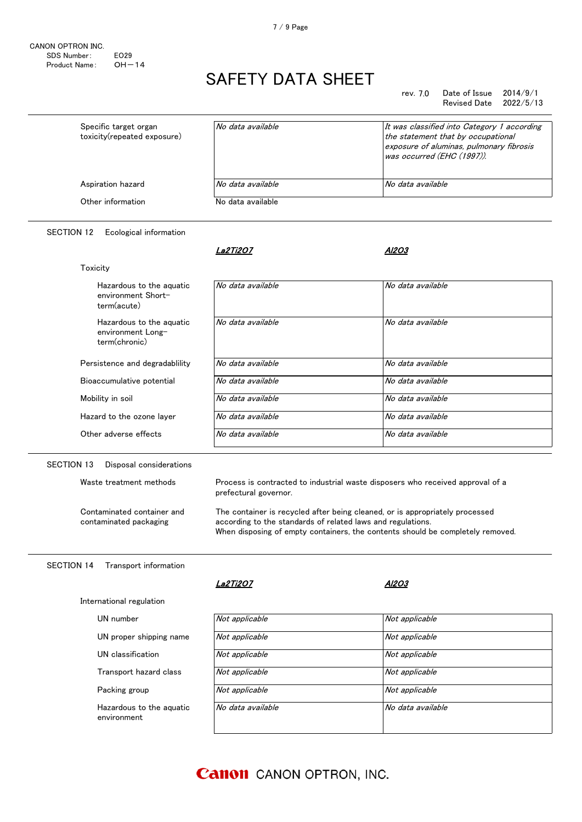#### rev. 7.0 Date of Issue 2014/9/1 Revised Date

| Specific target organ<br>toxicity(repeated exposure) | No data available | It was classified into Category 1 according<br>the statement that by occupational<br>exposure of aluminas, pulmonary fibrosis<br>was occurred (EHC (1997)). |
|------------------------------------------------------|-------------------|-------------------------------------------------------------------------------------------------------------------------------------------------------------|
| Aspiration hazard                                    | No data available | No data available                                                                                                                                           |
| Other information                                    | No data available |                                                                                                                                                             |

#### SECTION 12 Ecological information

|                                                                | <i><b>La2Ti2O7</b></i>                                                                                                                                                                                                        | AI2O3             |  |
|----------------------------------------------------------------|-------------------------------------------------------------------------------------------------------------------------------------------------------------------------------------------------------------------------------|-------------------|--|
| Toxicity                                                       |                                                                                                                                                                                                                               |                   |  |
| Hazardous to the aguatic<br>environment Short-<br>term(acute)  | No data available                                                                                                                                                                                                             | No data available |  |
| Hazardous to the aguatic<br>environment Long-<br>term(chronic) | No data available                                                                                                                                                                                                             | No data available |  |
| Persistence and degradability                                  | No data available                                                                                                                                                                                                             | No data available |  |
| Bioaccumulative potential                                      | No data available                                                                                                                                                                                                             | No data available |  |
| Mobility in soil                                               | No data available                                                                                                                                                                                                             | No data available |  |
| Hazard to the ozone layer                                      | No data available                                                                                                                                                                                                             | No data available |  |
| Other adverse effects                                          | No data available                                                                                                                                                                                                             | No data available |  |
| Contaminated container and<br>contaminated packaging           | The container is recycled after being cleaned, or is appropriately processed<br>according to the standards of related laws and regulations.<br>When disposing of empty containers, the contents should be completely removed. |                   |  |
| Transport information<br><b>SECTION 14</b>                     |                                                                                                                                                                                                                               |                   |  |
|                                                                | La2Ti2O7                                                                                                                                                                                                                      | AI2O3             |  |
| International regulation                                       |                                                                                                                                                                                                                               |                   |  |
| UN number                                                      | Not applicable                                                                                                                                                                                                                | Not applicable    |  |
| UN proper shipping name                                        | Not applicable                                                                                                                                                                                                                | Not applicable    |  |
| UN classification                                              | Not applicable                                                                                                                                                                                                                | Not applicable    |  |
| Transport hazard class                                         | Not applicable                                                                                                                                                                                                                | Not applicable    |  |
| Packing group                                                  | Not applicable                                                                                                                                                                                                                | Not applicable    |  |
| Hazardous to the aquatic<br>environment                        | No data available                                                                                                                                                                                                             | No data available |  |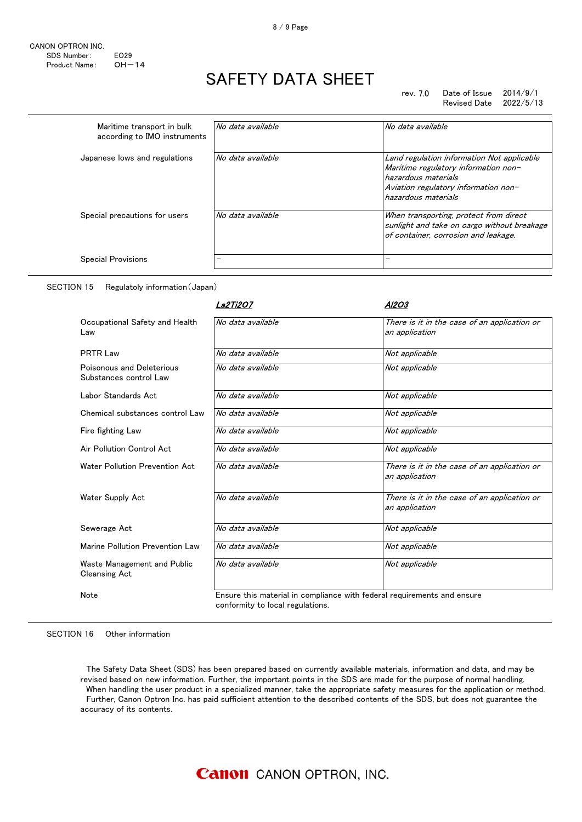#### rev. 7.0 Date of Issue 2014/9/1 Revised Date 2022/5/13

| Maritime transport in bulk<br>according to IMO instruments | No data available | No data available                                                                                                                                                        |
|------------------------------------------------------------|-------------------|--------------------------------------------------------------------------------------------------------------------------------------------------------------------------|
| Japanese lows and regulations                              | No data available | Land regulation information Not applicable<br>Maritime regulatory information non-<br>hazardous materials<br>Aviation regulatory information non-<br>hazardous materials |
| Special precautions for users                              | No data available | When transporting, protect from direct<br>sunlight and take on cargo without breakage<br>of container, corrosion and leakage.                                            |
| <b>Special Provisions</b>                                  |                   |                                                                                                                                                                          |

SECTION 15 Regulatoly information(Japan)

|                                                     | La2Tï2O7                         | Al2O3                                                                   |
|-----------------------------------------------------|----------------------------------|-------------------------------------------------------------------------|
| Occupational Safety and Health<br>Law               | No data available                | There is it in the case of an application or<br>an application          |
| <b>PRTR Law</b>                                     | No data available                | Not applicable                                                          |
| Poisonous and Deleterious<br>Substances control Law | No data available                | Not applicable                                                          |
| Labor Standards Act                                 | No data available                | Not applicable                                                          |
| Chemical substances control Law                     | No data available                | Not applicable                                                          |
| Fire fighting Law                                   | No data available                | Not applicable                                                          |
| Air Pollution Control Act                           | No data available                | Not applicable                                                          |
| Water Pollution Prevention Act                      | No data available                | There is it in the case of an application or<br>an application          |
| Water Supply Act                                    | No data available                | There is it in the case of an application or<br>an application          |
| Sewerage Act                                        | No data available                | Not applicable                                                          |
| Marine Pollution Prevention Law                     | No data available                | Not applicable                                                          |
| Waste Management and Public<br><b>Cleansing Act</b> | No data available                | Not applicable                                                          |
| Note                                                | conformity to local regulations. | Ensure this material in compliance with federal requirements and ensure |

#### SECTION 16 Other information

 The Safety Data Sheet (SDS) has been prepared based on currently available materials, information and data, and may be revised based on new information. Further, the important points in the SDS are made for the purpose of normal handling. When handling the user product in a specialized manner, take the appropriate safety measures for the application or method. Further, Canon Optron Inc. has paid sufficient attention to the described contents of the SDS, but does not guarantee the accuracy of its contents.